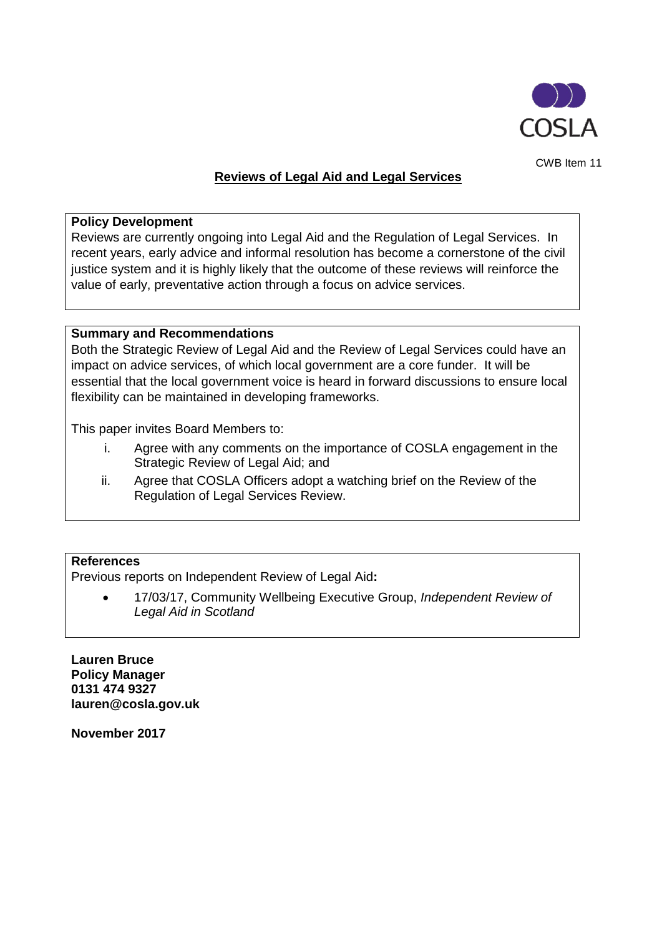

CWB Item 11

## **Reviews of Legal Aid and Legal Services**

### **Policy Development**

Reviews are currently ongoing into Legal Aid and the Regulation of Legal Services. In recent years, early advice and informal resolution has become a cornerstone of the civil justice system and it is highly likely that the outcome of these reviews will reinforce the value of early, preventative action through a focus on advice services.

### **Summary and Recommendations**

Both the Strategic Review of Legal Aid and the Review of Legal Services could have an impact on advice services, of which local government are a core funder. It will be essential that the local government voice is heard in forward discussions to ensure local flexibility can be maintained in developing frameworks.

This paper invites Board Members to:

- i. Agree with any comments on the importance of COSLA engagement in the Strategic Review of Legal Aid; and
- ii. Agree that COSLA Officers adopt a watching brief on the Review of the Regulation of Legal Services Review.

### **References**

Previous reports on Independent Review of Legal Aid**:**

• 17/03/17, Community Wellbeing Executive Group, *Independent Review of Legal Aid in Scotland*

**Lauren Bruce Policy Manager 0131 474 9327 lauren@cosla.gov.uk**

**November 2017**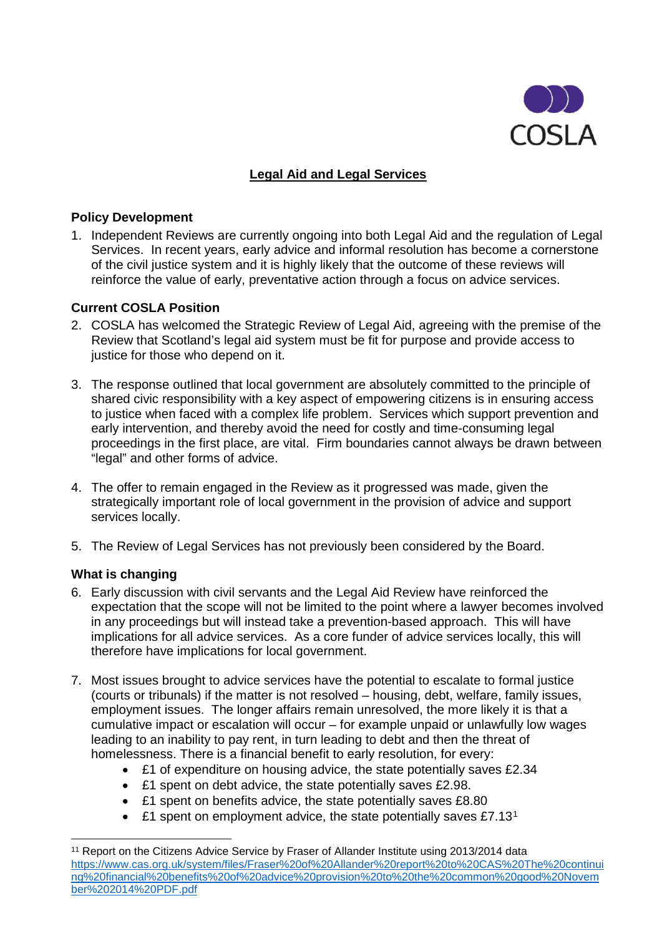

# **Legal Aid and Legal Services**

## **Policy Development**

1. Independent Reviews are currently ongoing into both Legal Aid and the regulation of Legal Services. In recent years, early advice and informal resolution has become a cornerstone of the civil justice system and it is highly likely that the outcome of these reviews will reinforce the value of early, preventative action through a focus on advice services.

# **Current COSLA Position**

- 2. COSLA has welcomed the Strategic Review of Legal Aid, agreeing with the premise of the Review that Scotland's legal aid system must be fit for purpose and provide access to justice for those who depend on it.
- 3. The response outlined that local government are absolutely committed to the principle of shared civic responsibility with a key aspect of empowering citizens is in ensuring access to justice when faced with a complex life problem. Services which support prevention and early intervention, and thereby avoid the need for costly and time-consuming legal proceedings in the first place, are vital. Firm boundaries cannot always be drawn between "legal" and other forms of advice.
- 4. The offer to remain engaged in the Review as it progressed was made, given the strategically important role of local government in the provision of advice and support services locally.
- 5. The Review of Legal Services has not previously been considered by the Board.

## **What is changing**

- 6. Early discussion with civil servants and the Legal Aid Review have reinforced the expectation that the scope will not be limited to the point where a lawyer becomes involved in any proceedings but will instead take a prevention-based approach. This will have implications for all advice services. As a core funder of advice services locally, this will therefore have implications for local government.
- 7. Most issues brought to advice services have the potential to escalate to formal justice (courts or tribunals) if the matter is not resolved – housing, debt, welfare, family issues, employment issues. The longer affairs remain unresolved, the more likely it is that a cumulative impact or escalation will occur – for example unpaid or unlawfully low wages leading to an inability to pay rent, in turn leading to debt and then the threat of homelessness. There is a financial benefit to early resolution, for every:
	- £1 of expenditure on housing advice, the state potentially saves £2.34
	- £1 spent on debt advice, the state potentially saves £2.98.
	- £1 spent on benefits advice, the state potentially saves £8.80
	- £[1](#page-1-0) spent on employment advice, the state potentially saves  $£7.13<sup>1</sup>$

<span id="page-1-0"></span><sup>&</sup>lt;sup>11</sup> Report on the Citizens Advice Service by Fraser of Allander Institute using 2013/2014 data [https://www.cas.org.uk/system/files/Fraser%20of%20Allander%20report%20to%20CAS%20The%20continui](https://www.cas.org.uk/system/files/Fraser%20of%20Allander%20report%20to%20CAS%20The%20continuing%20financial%20benefits%20of%20advice%20provision%20to%20the%20common%20good%20November%202014%20PDF.pdf) [ng%20financial%20benefits%20of%20advice%20provision%20to%20the%20common%20good%20Novem](https://www.cas.org.uk/system/files/Fraser%20of%20Allander%20report%20to%20CAS%20The%20continuing%20financial%20benefits%20of%20advice%20provision%20to%20the%20common%20good%20November%202014%20PDF.pdf) [ber%202014%20PDF.pdf](https://www.cas.org.uk/system/files/Fraser%20of%20Allander%20report%20to%20CAS%20The%20continuing%20financial%20benefits%20of%20advice%20provision%20to%20the%20common%20good%20November%202014%20PDF.pdf)